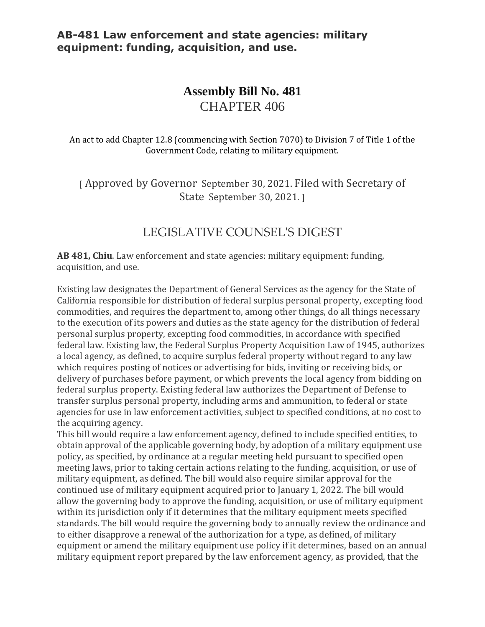# **Assembly Bill No. 481** CHAPTER 406

An act to add Chapter 12.8 (commencing with Section 7070) to Division 7 of Title 1 of the Government Code, relating to military equipment.

[ Approved by Governor September 30, 2021. Filed with Secretary of State September 30, 2021. ]

## LEGISLATIVE COUNSEL'S DIGEST

**AB 481, Chiu**. Law enforcement and state agencies: military equipment: funding, acquisition, and use.

Existing law designates the Department of General Services as the agency for the State of California responsible for distribution of federal surplus personal property, excepting food commodities, and requires the department to, among other things, do all things necessary to the execution of its powers and duties as the state agency for the distribution of federal personal surplus property, excepting food commodities, in accordance with specified federal law. Existing law, the Federal Surplus Property Acquisition Law of 1945, authorizes a local agency, as defined, to acquire surplus federal property without regard to any law which requires posting of notices or advertising for bids, inviting or receiving bids, or delivery of purchases before payment, or which prevents the local agency from bidding on federal surplus property. Existing federal law authorizes the Department of Defense to transfer surplus personal property, including arms and ammunition, to federal or state agencies for use in law enforcement activities, subject to specified conditions, at no cost to the acquiring agency.

This bill would require a law enforcement agency, defined to include specified entities, to obtain approval of the applicable governing body, by adoption of a military equipment use policy, as specified, by ordinance at a regular meeting held pursuant to specified open meeting laws, prior to taking certain actions relating to the funding, acquisition, or use of military equipment, as defined. The bill would also require similar approval for the continued use of military equipment acquired prior to January 1, 2022. The bill would allow the governing body to approve the funding, acquisition, or use of military equipment within its jurisdiction only if it determines that the military equipment meets specified standards. The bill would require the governing body to annually review the ordinance and to either disapprove a renewal of the authorization for a type, as defined, of military equipment or amend the military equipment use policy if it determines, based on an annual military equipment report prepared by the law enforcement agency, as provided, that the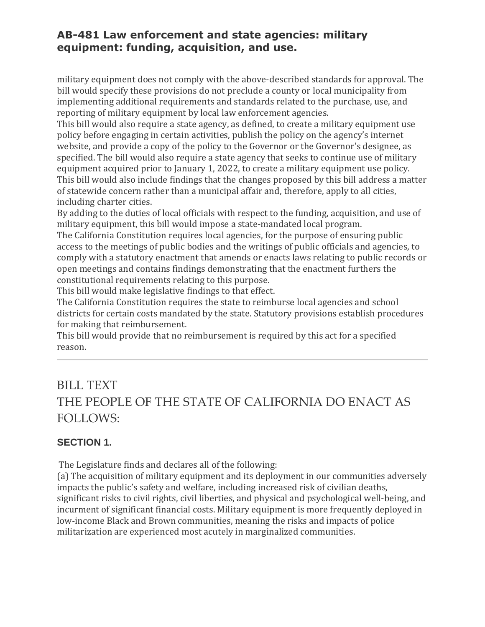military equipment does not comply with the above-described standards for approval. The bill would specify these provisions do not preclude a county or local municipality from implementing additional requirements and standards related to the purchase, use, and reporting of military equipment by local law enforcement agencies.

This bill would also require a state agency, as defined, to create a military equipment use policy before engaging in certain activities, publish the policy on the agency's internet website, and provide a copy of the policy to the Governor or the Governor's designee, as specified. The bill would also require a state agency that seeks to continue use of military equipment acquired prior to January 1, 2022, to create a military equipment use policy. This bill would also include findings that the changes proposed by this bill address a matter of statewide concern rather than a municipal affair and, therefore, apply to all cities, including charter cities.

By adding to the duties of local officials with respect to the funding, acquisition, and use of military equipment, this bill would impose a state-mandated local program.

The California Constitution requires local agencies, for the purpose of ensuring public access to the meetings of public bodies and the writings of public officials and agencies, to comply with a statutory enactment that amends or enacts laws relating to public records or open meetings and contains findings demonstrating that the enactment furthers the constitutional requirements relating to this purpose.

This bill would make legislative findings to that effect.

The California Constitution requires the state to reimburse local agencies and school districts for certain costs mandated by the state. Statutory provisions establish procedures for making that reimbursement.

This bill would provide that no reimbursement is required by this act for a specified reason.

# BILL TEXT THE PEOPLE OF THE STATE OF CALIFORNIA DO ENACT AS FOLLOWS:

## **SECTION 1.**

The Legislature finds and declares all of the following:

(a) The acquisition of military equipment and its deployment in our communities adversely impacts the public's safety and welfare, including increased risk of civilian deaths, significant risks to civil rights, civil liberties, and physical and psychological well-being, and incurment of significant financial costs. Military equipment is more frequently deployed in low-income Black and Brown communities, meaning the risks and impacts of police militarization are experienced most acutely in marginalized communities.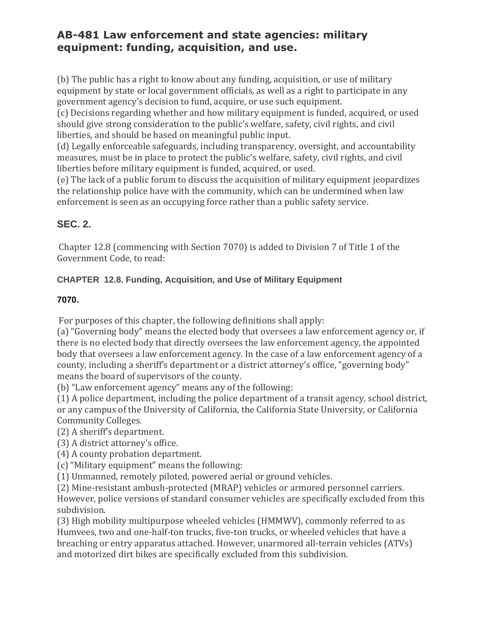(b) The public has a right to know about any funding, acquisition, or use of military equipment by state or local government officials, as well as a right to participate in any government agency's decision to fund, acquire, or use such equipment.

(c) Decisions regarding whether and how military equipment is funded, acquired, or used should give strong consideration to the public's welfare, safety, civil rights, and civil liberties, and should be based on meaningful public input.

(d) Legally enforceable safeguards, including transparency, oversight, and accountability measures, must be in place to protect the public's welfare, safety, civil rights, and civil liberties before military equipment is funded, acquired, or used.

(e) The lack of a public forum to discuss the acquisition of military equipment jeopardizes the relationship police have with the community, which can be undermined when law enforcement is seen as an occupying force rather than a public safety service.

## **SEC. 2.**

Chapter 12.8 (commencing with Section 7070) is added to Division 7 of Title 1 of the Government Code, to read:

#### **CHAPTER 12.8. Funding, Acquisition, and Use of Military Equipment**

#### **7070.**

For purposes of this chapter, the following definitions shall apply:

(a) "Governing body" means the elected body that oversees a law enforcement agency or, if there is no elected body that directly oversees the law enforcement agency, the appointed body that oversees a law enforcement agency. In the case of a law enforcement agency of a county, including a sheriff's department or a district attorney's office, "governing body" means the board of supervisors of the county.

(b) "Law enforcement agency" means any of the following:

(1) A police department, including the police department of a transit agency, school district, or any campus of the University of California, the California State University, or California Community Colleges.

(2) A sheriff's department.

(3) A district attorney's office.

(4) A county probation department.

(c) "Military equipment" means the following:

(1) Unmanned, remotely piloted, powered aerial or ground vehicles.

(2) Mine-resistant ambush-protected (MRAP) vehicles or armored personnel carriers. However, police versions of standard consumer vehicles are specifically excluded from this subdivision.

(3) High mobility multipurpose wheeled vehicles (HMMWV), commonly referred to as Humvees, two and one-half-ton trucks, five-ton trucks, or wheeled vehicles that have a breaching or entry apparatus attached. However, unarmored all-terrain vehicles (ATVs) and motorized dirt bikes are specifically excluded from this subdivision.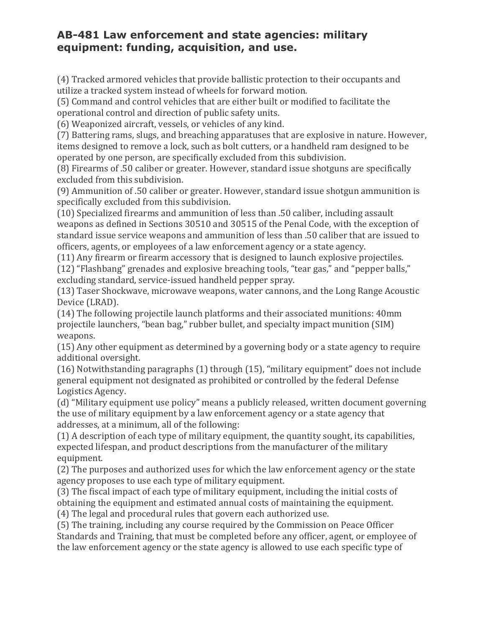(4) Tracked armored vehicles that provide ballistic protection to their occupants and utilize a tracked system instead of wheels for forward motion.

(5) Command and control vehicles that are either built or modified to facilitate the operational control and direction of public safety units.

(6) Weaponized aircraft, vessels, or vehicles of any kind.

(7) Battering rams, slugs, and breaching apparatuses that are explosive in nature. However, items designed to remove a lock, such as bolt cutters, or a handheld ram designed to be operated by one person, are specifically excluded from this subdivision.

(8) Firearms of .50 caliber or greater. However, standard issue shotguns are specifically excluded from this subdivision.

(9) Ammunition of .50 caliber or greater. However, standard issue shotgun ammunition is specifically excluded from this subdivision.

(10) Specialized firearms and ammunition of less than .50 caliber, including assault weapons as defined in Sections 30510 and 30515 of the Penal Code, with the exception of standard issue service weapons and ammunition of less than .50 caliber that are issued to officers, agents, or employees of a law enforcement agency or a state agency.

(11) Any firearm or firearm accessory that is designed to launch explosive projectiles.

(12) "Flashbang" grenades and explosive breaching tools, "tear gas," and "pepper balls," excluding standard, service-issued handheld pepper spray.

(13) Taser Shockwave, microwave weapons, water cannons, and the Long Range Acoustic Device (LRAD).

(14) The following projectile launch platforms and their associated munitions: 40mm projectile launchers, "bean bag," rubber bullet, and specialty impact munition (SIM) weapons.

(15) Any other equipment as determined by a governing body or a state agency to require additional oversight.

(16) Notwithstanding paragraphs (1) through (15), "military equipment" does not include general equipment not designated as prohibited or controlled by the federal Defense Logistics Agency.

(d) "Military equipment use policy" means a publicly released, written document governing the use of military equipment by a law enforcement agency or a state agency that addresses, at a minimum, all of the following:

(1) A description of each type of military equipment, the quantity sought, its capabilities, expected lifespan, and product descriptions from the manufacturer of the military equipment.

(2) The purposes and authorized uses for which the law enforcement agency or the state agency proposes to use each type of military equipment.

(3) The fiscal impact of each type of military equipment, including the initial costs of obtaining the equipment and estimated annual costs of maintaining the equipment. (4) The legal and procedural rules that govern each authorized use.

(5) The training, including any course required by the Commission on Peace Officer Standards and Training, that must be completed before any officer, agent, or employee of the law enforcement agency or the state agency is allowed to use each specific type of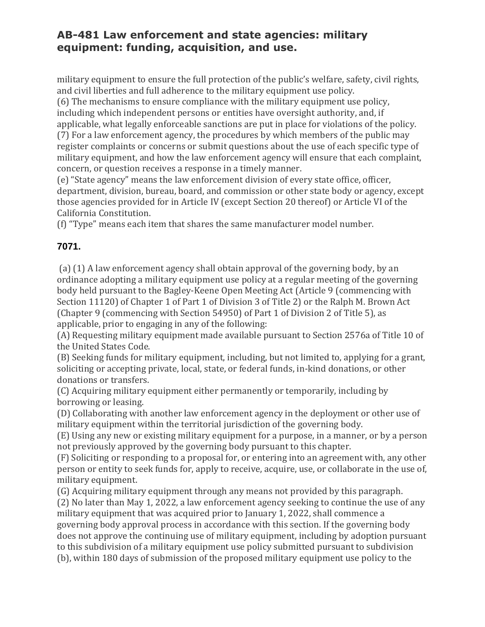military equipment to ensure the full protection of the public's welfare, safety, civil rights, and civil liberties and full adherence to the military equipment use policy.

(6) The mechanisms to ensure compliance with the military equipment use policy, including which independent persons or entities have oversight authority, and, if applicable, what legally enforceable sanctions are put in place for violations of the policy.

(7) For a law enforcement agency, the procedures by which members of the public may register complaints or concerns or submit questions about the use of each specific type of military equipment, and how the law enforcement agency will ensure that each complaint, concern, or question receives a response in a timely manner.

(e) "State agency" means the law enforcement division of every state office, officer, department, division, bureau, board, and commission or other state body or agency, except those agencies provided for in Article IV (except Section 20 thereof) or Article VI of the California Constitution.

(f) "Type" means each item that shares the same manufacturer model number.

#### **7071.**

(a) (1) A law enforcement agency shall obtain approval of the governing body, by an ordinance adopting a military equipment use policy at a regular meeting of the governing body held pursuant to the Bagley-Keene Open Meeting Act (Article 9 (commencing with Section 11120) of Chapter 1 of Part 1 of Division 3 of Title 2) or the Ralph M. Brown Act (Chapter 9 (commencing with Section 54950) of Part 1 of Division 2 of Title 5), as applicable, prior to engaging in any of the following:

(A) Requesting military equipment made available pursuant to Section 2576a of Title 10 of the United States Code.

(B) Seeking funds for military equipment, including, but not limited to, applying for a grant, soliciting or accepting private, local, state, or federal funds, in-kind donations, or other donations or transfers.

(C) Acquiring military equipment either permanently or temporarily, including by borrowing or leasing.

(D) Collaborating with another law enforcement agency in the deployment or other use of military equipment within the territorial jurisdiction of the governing body.

(E) Using any new or existing military equipment for a purpose, in a manner, or by a person not previously approved by the governing body pursuant to this chapter.

(F) Soliciting or responding to a proposal for, or entering into an agreement with, any other person or entity to seek funds for, apply to receive, acquire, use, or collaborate in the use of, military equipment.

(G) Acquiring military equipment through any means not provided by this paragraph.

(2) No later than May 1, 2022, a law enforcement agency seeking to continue the use of any military equipment that was acquired prior to January 1, 2022, shall commence a governing body approval process in accordance with this section. If the governing body does not approve the continuing use of military equipment, including by adoption pursuant to this subdivision of a military equipment use policy submitted pursuant to subdivision (b), within 180 days of submission of the proposed military equipment use policy to the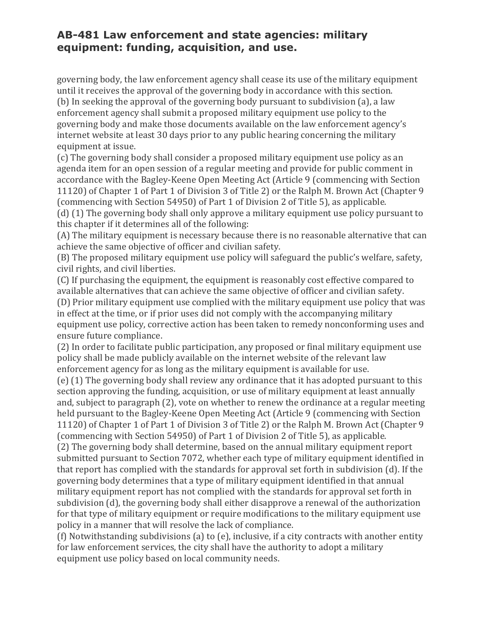governing body, the law enforcement agency shall cease its use of the military equipment until it receives the approval of the governing body in accordance with this section. (b) In seeking the approval of the governing body pursuant to subdivision (a), a law enforcement agency shall submit a proposed military equipment use policy to the governing body and make those documents available on the law enforcement agency's internet website at least 30 days prior to any public hearing concerning the military equipment at issue.

(c) The governing body shall consider a proposed military equipment use policy as an agenda item for an open session of a regular meeting and provide for public comment in accordance with the Bagley-Keene Open Meeting Act (Article 9 (commencing with Section 11120) of Chapter 1 of Part 1 of Division 3 of Title 2) or the Ralph M. Brown Act (Chapter 9 (commencing with Section 54950) of Part 1 of Division 2 of Title 5), as applicable.

(d) (1) The governing body shall only approve a military equipment use policy pursuant to this chapter if it determines all of the following:

(A) The military equipment is necessary because there is no reasonable alternative that can achieve the same objective of officer and civilian safety.

(B) The proposed military equipment use policy will safeguard the public's welfare, safety, civil rights, and civil liberties.

(C) If purchasing the equipment, the equipment is reasonably cost effective compared to available alternatives that can achieve the same objective of officer and civilian safety.

(D) Prior military equipment use complied with the military equipment use policy that was in effect at the time, or if prior uses did not comply with the accompanying military equipment use policy, corrective action has been taken to remedy nonconforming uses and ensure future compliance.

(2) In order to facilitate public participation, any proposed or final military equipment use policy shall be made publicly available on the internet website of the relevant law enforcement agency for as long as the military equipment is available for use.

(e) (1) The governing body shall review any ordinance that it has adopted pursuant to this section approving the funding, acquisition, or use of military equipment at least annually and, subject to paragraph (2), vote on whether to renew the ordinance at a regular meeting held pursuant to the Bagley-Keene Open Meeting Act (Article 9 (commencing with Section 11120) of Chapter 1 of Part 1 of Division 3 of Title 2) or the Ralph M. Brown Act (Chapter 9 (commencing with Section 54950) of Part 1 of Division 2 of Title 5), as applicable.

(2) The governing body shall determine, based on the annual military equipment report submitted pursuant to Section 7072, whether each type of military equipment identified in that report has complied with the standards for approval set forth in subdivision (d). If the governing body determines that a type of military equipment identified in that annual military equipment report has not complied with the standards for approval set forth in subdivision (d), the governing body shall either disapprove a renewal of the authorization for that type of military equipment or require modifications to the military equipment use policy in a manner that will resolve the lack of compliance.

(f) Notwithstanding subdivisions (a) to (e), inclusive, if a city contracts with another entity for law enforcement services, the city shall have the authority to adopt a military equipment use policy based on local community needs.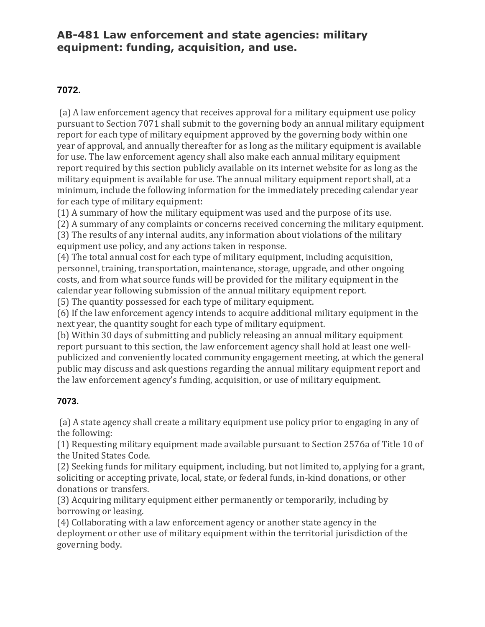#### **7072.**

(a) A law enforcement agency that receives approval for a military equipment use policy pursuant to Section 7071 shall submit to the governing body an annual military equipment report for each type of military equipment approved by the governing body within one year of approval, and annually thereafter for as long as the military equipment is available for use. The law enforcement agency shall also make each annual military equipment report required by this section publicly available on its internet website for as long as the military equipment is available for use. The annual military equipment report shall, at a minimum, include the following information for the immediately preceding calendar year for each type of military equipment:

(1) A summary of how the military equipment was used and the purpose of its use.

(2) A summary of any complaints or concerns received concerning the military equipment.

(3) The results of any internal audits, any information about violations of the military equipment use policy, and any actions taken in response.

(4) The total annual cost for each type of military equipment, including acquisition, personnel, training, transportation, maintenance, storage, upgrade, and other ongoing costs, and from what source funds will be provided for the military equipment in the calendar year following submission of the annual military equipment report.

(5) The quantity possessed for each type of military equipment.

(6) If the law enforcement agency intends to acquire additional military equipment in the next year, the quantity sought for each type of military equipment.

(b) Within 30 days of submitting and publicly releasing an annual military equipment report pursuant to this section, the law enforcement agency shall hold at least one wellpublicized and conveniently located community engagement meeting, at which the general public may discuss and ask questions regarding the annual military equipment report and the law enforcement agency's funding, acquisition, or use of military equipment.

#### **7073.**

(a) A state agency shall create a military equipment use policy prior to engaging in any of the following:

(1) Requesting military equipment made available pursuant to Section 2576a of Title 10 of the United States Code.

(2) Seeking funds for military equipment, including, but not limited to, applying for a grant, soliciting or accepting private, local, state, or federal funds, in-kind donations, or other donations or transfers.

(3) Acquiring military equipment either permanently or temporarily, including by borrowing or leasing.

(4) Collaborating with a law enforcement agency or another state agency in the deployment or other use of military equipment within the territorial jurisdiction of the governing body.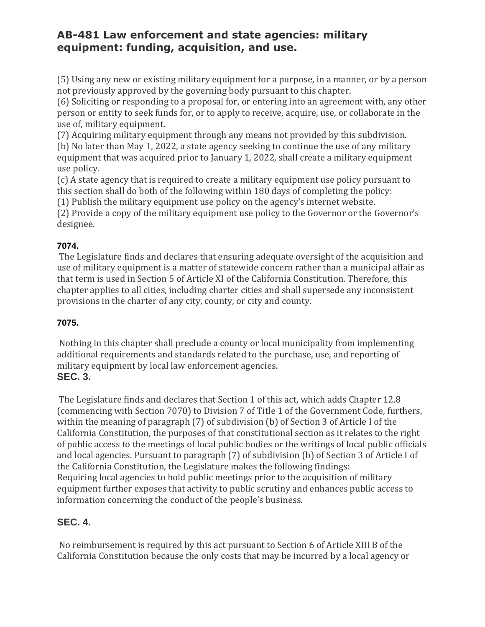(5) Using any new or existing military equipment for a purpose, in a manner, or by a person not previously approved by the governing body pursuant to this chapter.

(6) Soliciting or responding to a proposal for, or entering into an agreement with, any other person or entity to seek funds for, or to apply to receive, acquire, use, or collaborate in the use of, military equipment.

(7) Acquiring military equipment through any means not provided by this subdivision.

(b) No later than May 1, 2022, a state agency seeking to continue the use of any military equipment that was acquired prior to January 1, 2022, shall create a military equipment use policy.

(c) A state agency that is required to create a military equipment use policy pursuant to this section shall do both of the following within 180 days of completing the policy:

(1) Publish the military equipment use policy on the agency's internet website.

(2) Provide a copy of the military equipment use policy to the Governor or the Governor's designee.

#### **7074.**

The Legislature finds and declares that ensuring adequate oversight of the acquisition and use of military equipment is a matter of statewide concern rather than a municipal affair as that term is used in Section 5 of Article XI of the California Constitution. Therefore, this chapter applies to all cities, including charter cities and shall supersede any inconsistent provisions in the charter of any city, county, or city and county.

#### **7075.**

Nothing in this chapter shall preclude a county or local municipality from implementing additional requirements and standards related to the purchase, use, and reporting of military equipment by local law enforcement agencies. **SEC. 3.**

The Legislature finds and declares that Section 1 of this act, which adds Chapter 12.8 (commencing with Section 7070) to Division 7 of Title 1 of the Government Code, furthers, within the meaning of paragraph (7) of subdivision (b) of Section 3 of Article I of the California Constitution, the purposes of that constitutional section as it relates to the right of public access to the meetings of local public bodies or the writings of local public officials and local agencies. Pursuant to paragraph (7) of subdivision (b) of Section 3 of Article I of the California Constitution, the Legislature makes the following findings: Requiring local agencies to hold public meetings prior to the acquisition of military equipment further exposes that activity to public scrutiny and enhances public access to information concerning the conduct of the people's business.

#### **SEC. 4.**

No reimbursement is required by this act pursuant to Section 6 of Article XIII B of the California Constitution because the only costs that may be incurred by a local agency or